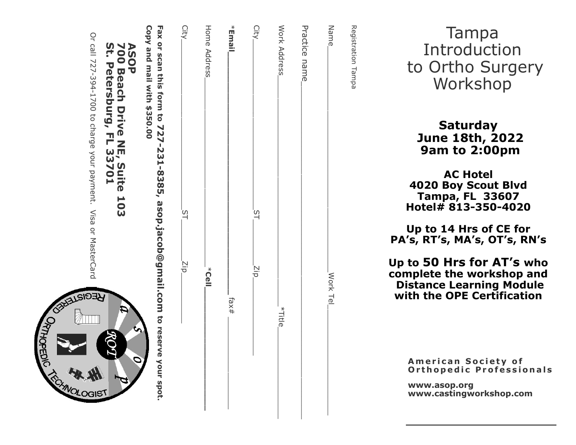| Or call 727-394-1700 to charge your payment. Visa or MasterCard<br>ASOP<br>700 Beach Drive NE, Suite 103<br>St. Petersburg, FL 33701<br>ਮੁਦਰ | Copy and mail with \$350.00<br>Fax or scan this form to 727-231-8385, asop.jacob@gmail.com to reserve your spot. | City<br><u>ی</u><br>ا<br>Σip | Home Address<br>k<br>Uell | *Email, | City<br>$\overline{c}$<br>Ξip | Work Address | Practice name | Name<br>Work Tel | Registration Tampa |
|----------------------------------------------------------------------------------------------------------------------------------------------|------------------------------------------------------------------------------------------------------------------|------------------------------|---------------------------|---------|-------------------------------|--------------|---------------|------------------|--------------------|
| Ć<br><b>GIST</b>                                                                                                                             |                                                                                                                  |                              |                           | fax#    |                               | *Title       |               |                  |                    |

ORTHOPEDIC

Tampa Introduction to Ortho Surgery Workshop

Saturday June 18th, 2022 9am to 2:00pm

AC Hotel 4020 Boy Scout Blvd Tampa, FL 33607 Hotel# 813 -350 -4020

Up to 14 Hrs of CE for PA's, RT's, MA's, OT's, RN's

Up to 50 Hrs for AT 's who complete the workshop and Distance Learning Module with the OPE Certification

> American Society of Orthopedic Professionals

www.asop.org www.castingworkshop.com